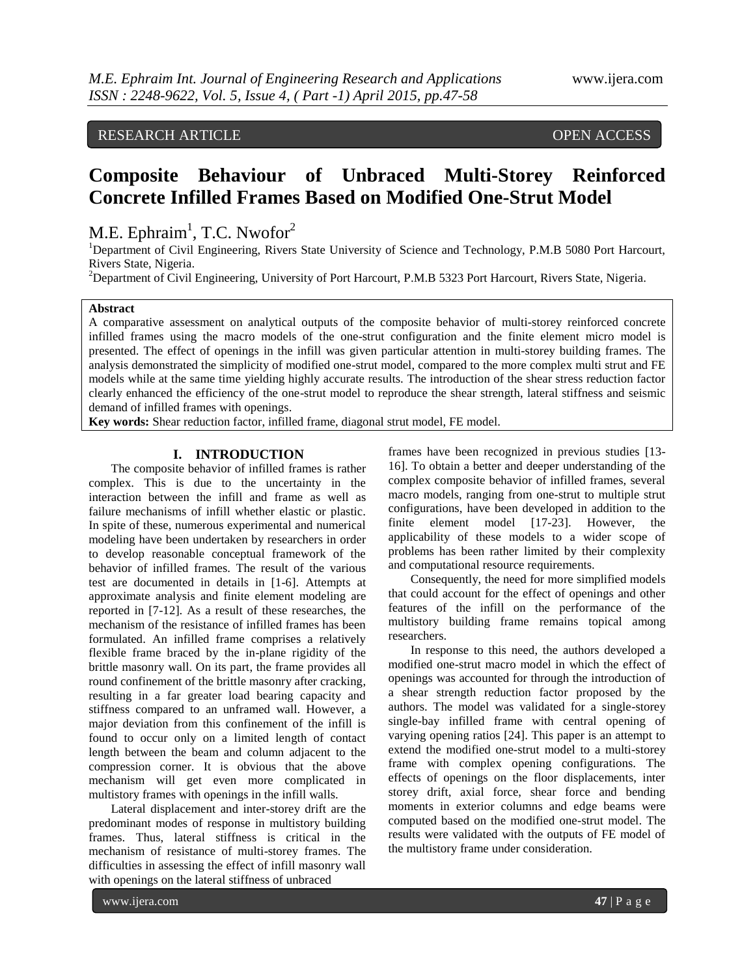# RESEARCH ARTICLE OPEN ACCESS

# **Composite Behaviour of Unbraced Multi-Storey Reinforced Concrete Infilled Frames Based on Modified One-Strut Model**

# M.E. Ephraim<sup>1</sup>, T.C. Nwofor<sup>2</sup>

<sup>1</sup>Department of Civil Engineering, Rivers State University of Science and Technology, P.M.B 5080 Port Harcourt, Rivers State, Nigeria.

<sup>2</sup>Department of Civil Engineering, University of Port Harcourt, P.M.B 5323 Port Harcourt, Rivers State, Nigeria.

#### **Abstract**

A comparative assessment on analytical outputs of the composite behavior of multi-storey reinforced concrete infilled frames using the macro models of the one-strut configuration and the finite element micro model is presented. The effect of openings in the infill was given particular attention in multi-storey building frames. The analysis demonstrated the simplicity of modified one-strut model, compared to the more complex multi strut and FE models while at the same time yielding highly accurate results. The introduction of the shear stress reduction factor clearly enhanced the efficiency of the one-strut model to reproduce the shear strength, lateral stiffness and seismic demand of infilled frames with openings.

**Key words:** Shear reduction factor, infilled frame, diagonal strut model, FE model.

# **I. INTRODUCTION**

The composite behavior of infilled frames is rather complex. This is due to the uncertainty in the interaction between the infill and frame as well as failure mechanisms of infill whether elastic or plastic. In spite of these, numerous experimental and numerical modeling have been undertaken by researchers in order to develop reasonable conceptual framework of the behavior of infilled frames. The result of the various test are documented in details in [1-6]. Attempts at approximate analysis and finite element modeling are reported in [7-12]. As a result of these researches, the mechanism of the resistance of infilled frames has been formulated. An infilled frame comprises a relatively flexible frame braced by the in-plane rigidity of the brittle masonry wall. On its part, the frame provides all round confinement of the brittle masonry after cracking, resulting in a far greater load bearing capacity and stiffness compared to an unframed wall. However, a major deviation from this confinement of the infill is found to occur only on a limited length of contact length between the beam and column adjacent to the compression corner. It is obvious that the above mechanism will get even more complicated in multistory frames with openings in the infill walls.

Lateral displacement and inter-storey drift are the predominant modes of response in multistory building frames. Thus, lateral stiffness is critical in the mechanism of resistance of multi-storey frames. The difficulties in assessing the effect of infill masonry wall with openings on the lateral stiffness of unbraced

frames have been recognized in previous studies [13- 16]. To obtain a better and deeper understanding of the complex composite behavior of infilled frames, several macro models, ranging from one-strut to multiple strut configurations, have been developed in addition to the finite element model [17-23]. However, the applicability of these models to a wider scope of problems has been rather limited by their complexity and computational resource requirements.

Consequently, the need for more simplified models that could account for the effect of openings and other features of the infill on the performance of the multistory building frame remains topical among researchers.

In response to this need, the authors developed a modified one-strut macro model in which the effect of openings was accounted for through the introduction of a shear strength reduction factor proposed by the authors. The model was validated for a single-storey single-bay infilled frame with central opening of varying opening ratios [24]. This paper is an attempt to extend the modified one-strut model to a multi-storey frame with complex opening configurations. The effects of openings on the floor displacements, inter storey drift, axial force, shear force and bending moments in exterior columns and edge beams were computed based on the modified one-strut model. The results were validated with the outputs of FE model of the multistory frame under consideration.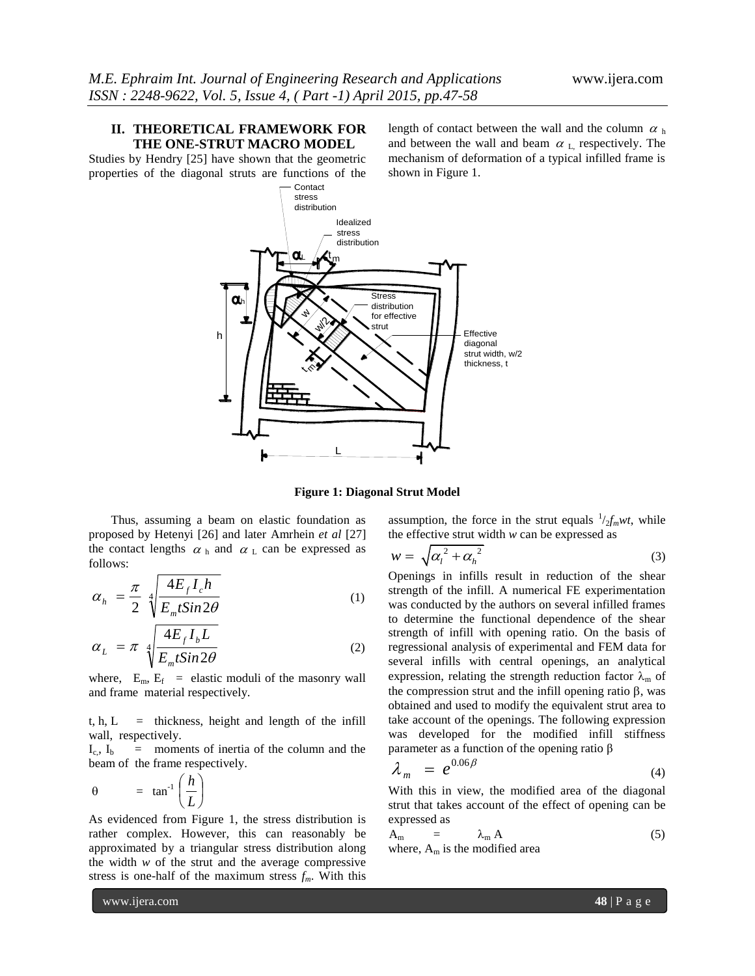# **II. THEORETICAL FRAMEWORK FOR THE ONE-STRUT MACRO MODEL**

Studies by Hendry [25] have shown that the geometric properties of the diagonal struts are functions of the

length of contact between the wall and the column  $\alpha$  h and between the wall and beam  $\alpha_L$ , respectively. The mechanism of deformation of a typical infilled frame is shown in Figure 1.



**Figure 1: Diagonal Strut Model**

Thus, assuming a beam on elastic foundation as proposed by Hetenyi [26] and later Amrhein *et al* [27] the contact lengths  $\alpha$ <sub>h</sub> and  $\alpha$ <sub>L</sub> can be expressed as follows:

$$
\alpha_h = \frac{\pi}{2} \sqrt[4]{\frac{4E_f I_c h}{E_m t S in 2\theta}}
$$
 (1)

$$
\alpha_L = \pi \sqrt[4]{\frac{4E_f I_b L}{E_m t S in 2\theta}}
$$
\n(2)

where,  $E_m$ ,  $E_f$  = elastic moduli of the masonry wall and frame material respectively.

 $t, h, L =$  thickness, height and length of the infill wall, respectively.

 $I_c$ ,  $I_b$  = moments of inertia of the column and the beam of the frame respectively.

$$
\theta = \tan^{-1}\left(\frac{h}{L}\right)
$$

As evidenced from Figure 1, the stress distribution is rather complex. However, this can reasonably be approximated by a triangular stress distribution along the width *w* of the strut and the average compressive stress is one-half of the maximum stress *fm*. With this

assumption, the force in the strut equals  $\frac{1}{2} f_m w t$ , while the effective strut width *w* can be expressed as

$$
w = \sqrt{{\alpha_l}^2 + {\alpha_h}^2}
$$
 (3)

Openings in infills result in reduction of the shear strength of the infill. A numerical FE experimentation was conducted by the authors on several infilled frames to determine the functional dependence of the shear strength of infill with opening ratio. On the basis of regressional analysis of experimental and FEM data for several infills with central openings, an analytical expression, relating the strength reduction factor  $\lambda_m$  of the compression strut and the infill opening ratio  $\beta$ , was obtained and used to modify the equivalent strut area to take account of the openings. The following expression was developed for the modified infill stiffness parameter as a function of the opening ratio β

$$
\lambda_m = e^{0.06\beta} \tag{4}
$$

With this in view, the modified area of the diagonal strut that takes account of the effect of opening can be expressed as

$$
A_m = \lambda_m A
$$
 (5)  
where,  $A_m$  is the modified area

www.ijera.com **48** | P a g e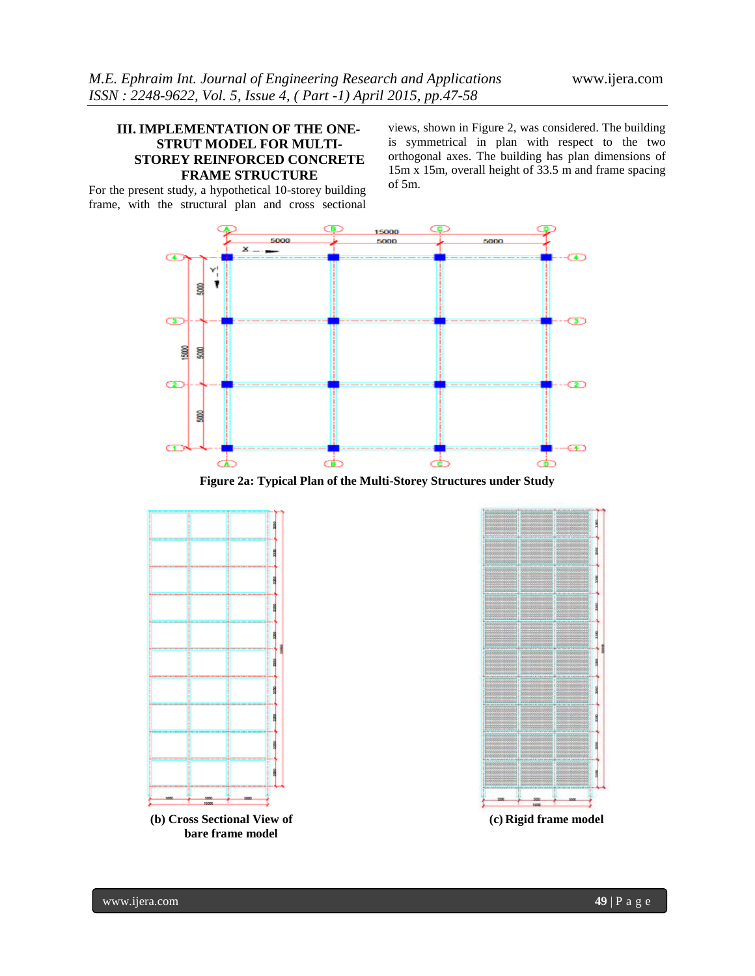# **III. IMPLEMENTATION OF THE ONE-STRUT MODEL FOR MULTI-STOREY REINFORCED CONCRETE FRAME STRUCTURE**

For the present study, a hypothetical 10-storey building frame, with the structural plan and cross sectional

views, shown in Figure 2, was considered. The building is symmetrical in plan with respect to the two orthogonal axes. The building has plan dimensions of 15m x 15m, overall height of 33.5 m and frame spacing of 5m.



**Figure 2a: Typical Plan of the Multi-Storey Structures under Study**

![](_page_2_Figure_7.jpeg)

![](_page_2_Figure_8.jpeg)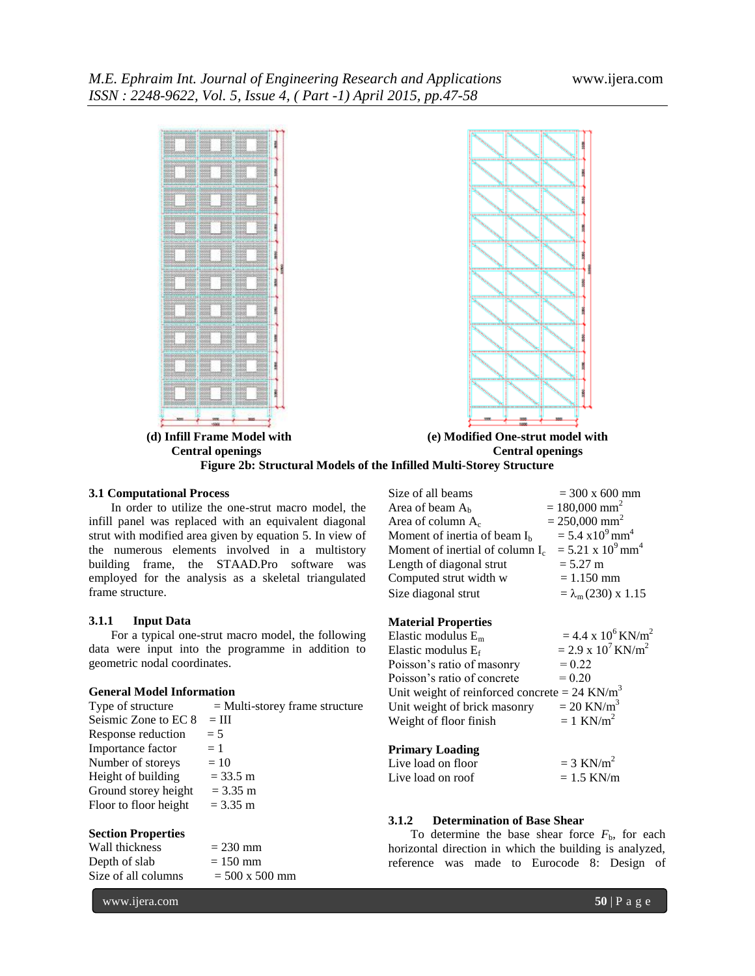![](_page_3_Figure_2.jpeg)

#### **3.1 Computational Process**

In order to utilize the one-strut macro model, the infill panel was replaced with an equivalent diagonal strut with modified area given by equation 5. In view of the numerous elements involved in a multistory building frame, the STAAD.Pro software was employed for the analysis as a skeletal triangulated frame structure.

#### **3.1.1 Input Data**

For a typical one-strut macro model, the following data were input into the programme in addition to geometric nodal coordinates.

#### **General Model Information**

| Type of structure     | $=$ Multi-storey frame structure |
|-----------------------|----------------------------------|
| Seismic Zone to EC 8  | $=$ III                          |
| Response reduction    | $= 5$                            |
| Importance factor     | $=1$                             |
| Number of storeys     | $=10$                            |
| Height of building    | $= 33.5 \text{ m}$               |
| Ground storey height  | $= 3.35$ m                       |
| Floor to floor height | $= 3.35$ m                       |
|                       |                                  |
|                       |                                  |

# **Section Properties**

| Wall thickness      | $= 230$ mm            |
|---------------------|-----------------------|
| Depth of slab       | $= 150$ mm            |
| Size of all columns | $= 500 \times 500$ mm |

| Size of all beams                        | $= 300 \times 600$ mm                 |
|------------------------------------------|---------------------------------------|
| Area of beam A <sub>b</sub>              | $= 180,000$ mm <sup>2</sup>           |
| Area of column $A_c$                     | $= 250,000$ mm <sup>2</sup>           |
| Moment of inertia of beam I <sub>b</sub> | $= 5.4 \times 10^{9}$ mm <sup>4</sup> |
| Moment of inertial of column $I_c$       | $= 5.21 \times 10^9$ mm <sup>4</sup>  |
| Length of diagonal strut                 | $= 5.27 \text{ m}$                    |
| Computed strut width w                   | $= 1.150$ mm                          |
| Size diagonal strut                      | $= \lambda_{m}(230) \times 1.15$      |
|                                          |                                       |

#### **Material Properties**

| Elastic modulus $E_m$                                       | $= 4.4 \times 10^6$ KN/m <sup>2</sup> |
|-------------------------------------------------------------|---------------------------------------|
| Elastic modulus $E_f$                                       | $= 2.9 \times 10^7$ KN/m <sup>2</sup> |
| Poisson's ratio of masonry                                  | $= 0.22$                              |
| Poisson's ratio of concrete                                 | $= 0.20$                              |
| Unit weight of reinforced concrete = $24$ KN/m <sup>3</sup> |                                       |
| Unit weight of brick masonry                                | $= 20$ KN/m <sup>3</sup>              |
| Weight of floor finish                                      | $= 1$ KN/m <sup>2</sup>               |
|                                                             |                                       |

#### **Primary Loading**

| Live load on floor | $= 3$ KN/m <sup>2</sup> |
|--------------------|-------------------------|
| Live load on roof  | $= 1.5$ KN/m            |

### **3.1.2 Determination of Base Shear**

To determine the base shear force  $F<sub>b</sub>$ , for each horizontal direction in which the building is analyzed, reference was made to Eurocode 8: Design of

www.ijera.com **50** | P a g e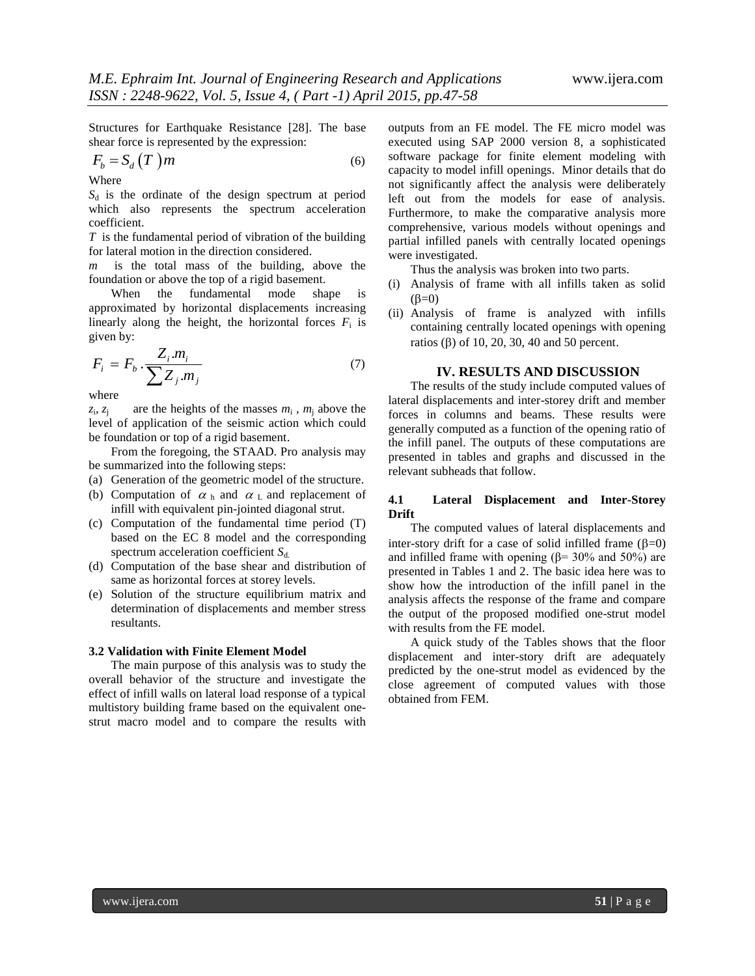Structures for Earthquake Resistance [28]. The base shear force is represented by the expression:

$$
F_b = S_d(T)m \tag{6}
$$

Where

 $S_d$  is the ordinate of the design spectrum at period which also represents the spectrum acceleration coefficient.

*T* is the fundamental period of vibration of the building for lateral motion in the direction considered.

*m* is the total mass of the building, above the foundation or above the top of a rigid basement.

When the fundamental mode shape is approximated by horizontal displacements increasing linearly along the height, the horizontal forces  $F_i$  is given by:

$$
F_i = F_b \cdot \frac{Z_i.m_i}{\sum Z_j.m_j} \tag{7}
$$

where

 $z_i$ ,  $z_i$  $, z_j$  are the heights of the masses  $m_i$ ,  $m_j$  above the level of application of the seismic action which could be foundation or top of a rigid basement.

From the foregoing, the STAAD. Pro analysis may be summarized into the following steps:

- (a) Generation of the geometric model of the structure.
- (b) Computation of  $\alpha$  h and  $\alpha$  L and replacement of infill with equivalent pin-jointed diagonal strut.
- (c) Computation of the fundamental time period (T) based on the EC 8 model and the corresponding spectrum acceleration coefficient *S*<sub>d</sub>.
- (d) Computation of the base shear and distribution of same as horizontal forces at storey levels.
- (e) Solution of the structure equilibrium matrix and determination of displacements and member stress resultants.

## **3.2 Validation with Finite Element Model**

The main purpose of this analysis was to study the overall behavior of the structure and investigate the effect of infill walls on lateral load response of a typical multistory building frame based on the equivalent onestrut macro model and to compare the results with outputs from an FE model. The FE micro model was executed using SAP 2000 version 8, a sophisticated software package for finite element modeling with capacity to model infill openings. Minor details that do not significantly affect the analysis were deliberately left out from the models for ease of analysis. Furthermore, to make the comparative analysis more comprehensive, various models without openings and partial infilled panels with centrally located openings were investigated.

Thus the analysis was broken into two parts.

- (i) Analysis of frame with all infills taken as solid  $(B=0)$
- (ii) Analysis of frame is analyzed with infills containing centrally located openings with opening ratios ( $\beta$ ) of 10, 20, 30, 40 and 50 percent.

#### **IV. RESULTS AND DISCUSSION**

The results of the study include computed values of lateral displacements and inter-storey drift and member forces in columns and beams. These results were generally computed as a function of the opening ratio of the infill panel. The outputs of these computations are presented in tables and graphs and discussed in the relevant subheads that follow.

#### **4.1 Lateral Displacement and Inter-Storey Drift**

The computed values of lateral displacements and inter-story drift for a case of solid infilled frame  $(\beta=0)$ and infilled frame with opening  $(\beta = 30\%$  and 50%) are presented in Tables 1 and 2. The basic idea here was to show how the introduction of the infill panel in the analysis affects the response of the frame and compare the output of the proposed modified one-strut model with results from the FE model.

A quick study of the Tables shows that the floor displacement and inter-story drift are adequately predicted by the one-strut model as evidenced by the close agreement of computed values with those obtained from FEM.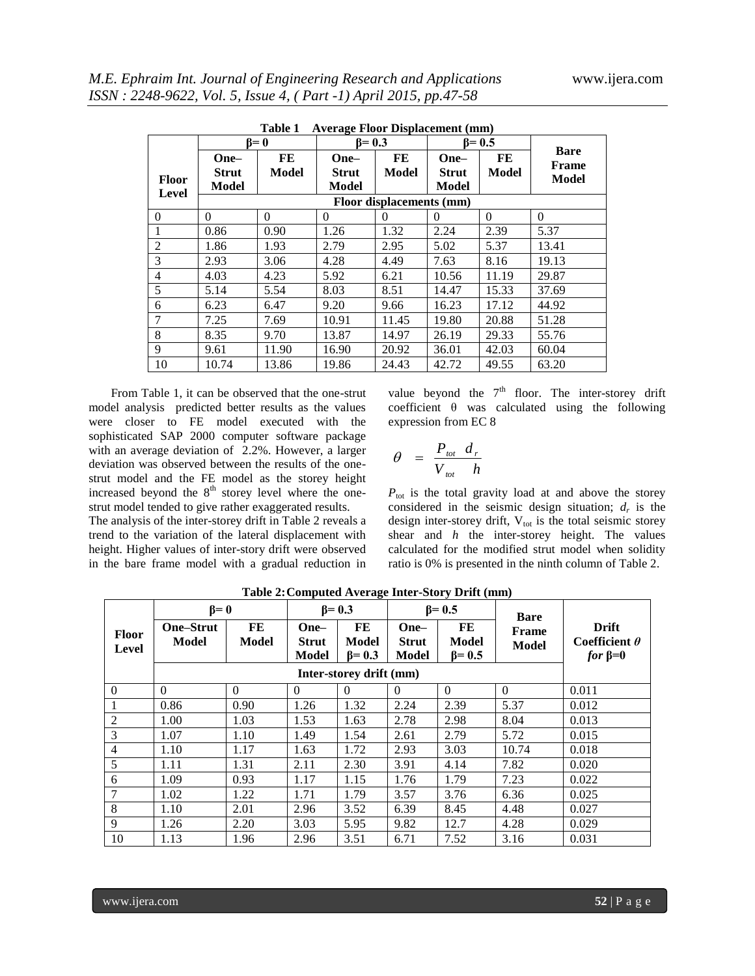|                       |                                      | $\beta = 0$        | $11$ , cruge 1 foor <i>Disputement</i> ( $1001$ )<br>$\beta = 0.3$ |                    |                               | $B = 0.5$   |                                      |  |  |  |
|-----------------------|--------------------------------------|--------------------|--------------------------------------------------------------------|--------------------|-------------------------------|-------------|--------------------------------------|--|--|--|
| <b>Floor</b><br>Level | One-<br><b>Strut</b><br><b>Model</b> | FE<br><b>Model</b> | One-<br><b>Strut</b><br>Model                                      | FE<br><b>Model</b> | One-<br><b>Strut</b><br>Model | FE<br>Model | <b>Bare</b><br>Frame<br><b>Model</b> |  |  |  |
|                       | Floor displacements (mm)             |                    |                                                                    |                    |                               |             |                                      |  |  |  |
| $\Omega$              | $\Omega$                             | $\Omega$           | $\Omega$                                                           | $\theta$           | $\Omega$                      | $\Omega$    | $\Omega$                             |  |  |  |
|                       | 0.86                                 | 0.90               | 1.26                                                               | 1.32               | 2.24                          | 2.39        | 5.37                                 |  |  |  |
| $\overline{2}$        | 1.86                                 | 1.93               | 2.79                                                               | 2.95               | 5.02                          | 5.37        | 13.41                                |  |  |  |
| 3                     | 2.93                                 | 3.06               | 4.28                                                               | 4.49               | 7.63                          | 8.16        | 19.13                                |  |  |  |
| 4                     | 4.03                                 | 4.23               | 5.92                                                               | 6.21               | 10.56                         | 11.19       | 29.87                                |  |  |  |
| 5                     | 5.14                                 | 5.54               | 8.03                                                               | 8.51               | 14.47                         | 15.33       | 37.69                                |  |  |  |
| 6                     | 6.23                                 | 6.47               | 9.20                                                               | 9.66               | 16.23                         | 17.12       | 44.92                                |  |  |  |
| $\overline{7}$        | 7.25                                 | 7.69               | 10.91                                                              | 11.45              | 19.80                         | 20.88       | 51.28                                |  |  |  |
| 8                     | 8.35                                 | 9.70               | 13.87                                                              | 14.97              | 26.19                         | 29.33       | 55.76                                |  |  |  |
| 9                     | 9.61                                 | 11.90              | 16.90                                                              | 20.92              | 36.01                         | 42.03       | 60.04                                |  |  |  |
| 10                    | 10.74                                | 13.86              | 19.86                                                              | 24.43              | 42.72                         | 49.55       | 63.20                                |  |  |  |

**Table 1 Average Floor Displacement (mm)**

From Table 1, it can be observed that the one-strut model analysis predicted better results as the values were closer to FE model executed with the sophisticated SAP 2000 computer software package with an average deviation of 2.2%. However, a larger deviation was observed between the results of the onestrut model and the FE model as the storey height increased beyond the  $8<sup>th</sup>$  storey level where the onestrut model tended to give rather exaggerated results.

The analysis of the inter-storey drift in Table 2 reveals a trend to the variation of the lateral displacement with height. Higher values of inter-story drift were observed in the bare frame model with a gradual reduction in

value beyond the  $7<sup>th</sup>$  floor. The inter-storey drift coefficient  $\theta$  was calculated using the following expression from EC 8

$$
\theta = \frac{P_{\text{tot}} d_r}{V_{\text{tot}} h}
$$

 $P_{\text{tot}}$  is the total gravity load at and above the storey considered in the seismic design situation;  $d_r$  is the design inter-storey drift,  $V_{\text{tot}}$  is the total seismic storey shear and *h* the inter-storey height. The values calculated for the modified strut model when solidity ratio is 0% is presented in the ninth column of Table 2.

|                       | $\beta = 0$                      |                    | $\beta$ = 0.3                 |                              | $\beta$ = 0.5                 |                                     | <b>Bare</b>                  |                                                |
|-----------------------|----------------------------------|--------------------|-------------------------------|------------------------------|-------------------------------|-------------------------------------|------------------------------|------------------------------------------------|
| <b>Floor</b><br>Level | <b>One–Strut</b><br><b>Model</b> | FE<br><b>Model</b> | One-<br><b>Strut</b><br>Model | FE<br>Model<br>$\beta$ = 0.3 | One-<br><b>Strut</b><br>Model | FE<br><b>Model</b><br>$\beta = 0.5$ | <b>Frame</b><br><b>Model</b> | Drift<br>Coefficient $\theta$<br>$for \beta=0$ |
|                       |                                  |                    |                               |                              |                               |                                     |                              |                                                |
| $\theta$              | $\Omega$                         | $\theta$           | $\theta$                      | $\Omega$                     | $\theta$                      | $\theta$                            | $\theta$                     | 0.011                                          |
|                       | 0.86                             | 0.90               | 1.26                          | 1.32                         | 2.24                          | 2.39                                | 5.37                         | 0.012                                          |
| 2                     | 1.00                             | 1.03               | 1.53                          | 1.63                         | 2.78                          | 2.98                                | 8.04                         | 0.013                                          |
| 3                     | 1.07                             | 1.10               | 1.49                          | 1.54                         | 2.61                          | 2.79                                | 5.72                         | 0.015                                          |
| $\overline{4}$        | 1.10                             | 1.17               | 1.63                          | 1.72                         | 2.93                          | 3.03                                | 10.74                        | 0.018                                          |
| 5                     | 1.11                             | 1.31               | 2.11                          | 2.30                         | 3.91                          | 4.14                                | 7.82                         | 0.020                                          |
| 6                     | 1.09                             | 0.93               | 1.17                          | 1.15                         | 1.76                          | 1.79                                | 7.23                         | 0.022                                          |
| 7                     | 1.02                             | 1.22               | 1.71                          | 1.79                         | 3.57                          | 3.76                                | 6.36                         | 0.025                                          |
| 8                     | 1.10                             | 2.01               | 2.96                          | 3.52                         | 6.39                          | 8.45                                | 4.48                         | 0.027                                          |
| 9                     | 1.26                             | 2.20               | 3.03                          | 5.95                         | 9.82                          | 12.7                                | 4.28                         | 0.029                                          |
| 10                    | 1.13                             | 1.96               | 2.96                          | 3.51                         | 6.71                          | 7.52                                | 3.16                         | 0.031                                          |

**Table 2:Computed Average Inter-Story Drift (mm)**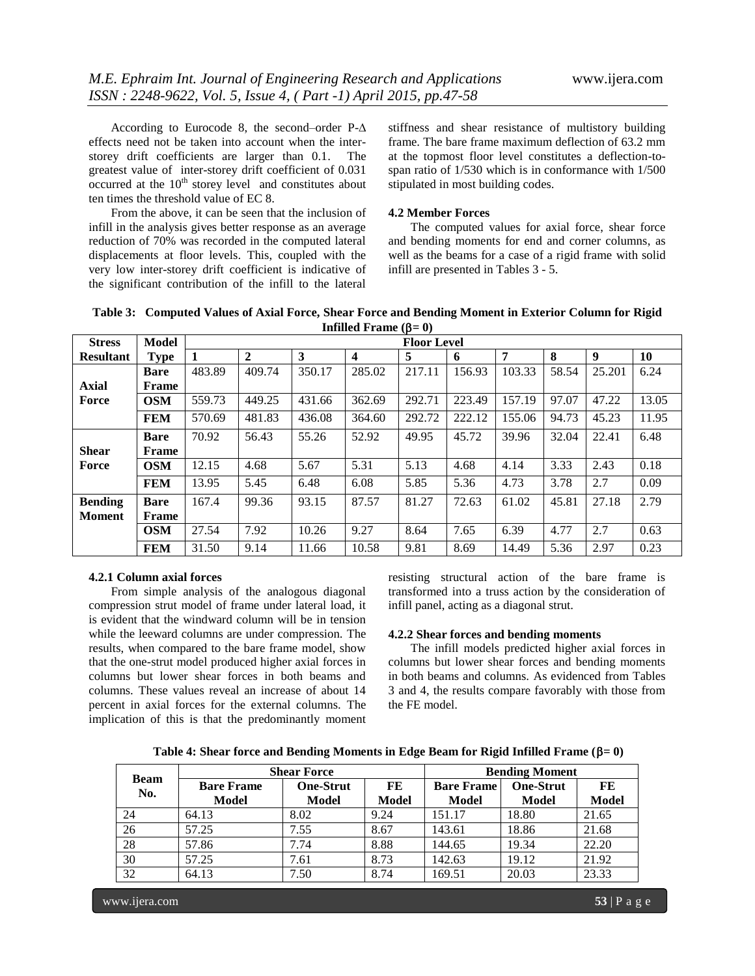According to Eurocode 8, the second–order P-∆ effects need not be taken into account when the interstorey drift coefficients are larger than 0.1. The greatest value of inter-storey drift coefficient of 0.031  $occurred$  at the  $10<sup>th</sup>$  storey level and constitutes about ten times the threshold value of EC 8.

From the above, it can be seen that the inclusion of infill in the analysis gives better response as an average reduction of 70% was recorded in the computed lateral displacements at floor levels. This, coupled with the very low inter-storey drift coefficient is indicative of the significant contribution of the infill to the lateral

stiffness and shear resistance of multistory building frame. The bare frame maximum deflection of 63.2 mm at the topmost floor level constitutes a deflection-tospan ratio of 1/530 which is in conformance with 1/500 stipulated in most building codes.

#### **4.2 Member Forces**

The computed values for axial force, shear force and bending moments for end and corner columns, as well as the beams for a case of a rigid frame with solid infill are presented in Tables 3 - 5.

|                  |              |        |                |        | $r_{\rm{m}}$ and $r_{\rm{p}}$ |                    |        |        |       |        |           |
|------------------|--------------|--------|----------------|--------|-------------------------------|--------------------|--------|--------|-------|--------|-----------|
| <b>Stress</b>    | Model        |        |                |        |                               | <b>Floor Level</b> |        |        |       |        |           |
| <b>Resultant</b> | <b>Type</b>  |        | $\overline{2}$ | 3      | $\boldsymbol{4}$              | 5                  | 6      | 7      | 8     | 9      | <b>10</b> |
|                  | <b>Bare</b>  | 483.89 | 409.74         | 350.17 | 285.02                        | 217.11             | 156.93 | 103.33 | 58.54 | 25.201 | 6.24      |
| <b>Axial</b>     | Frame        |        |                |        |                               |                    |        |        |       |        |           |
| Force            | <b>OSM</b>   | 559.73 | 449.25         | 431.66 | 362.69                        | 292.71             | 223.49 | 157.19 | 97.07 | 47.22  | 13.05     |
|                  | <b>FEM</b>   | 570.69 | 481.83         | 436.08 | 364.60                        | 292.72             | 222.12 | 155.06 | 94.73 | 45.23  | 11.95     |
|                  | <b>Bare</b>  | 70.92  | 56.43          | 55.26  | 52.92                         | 49.95              | 45.72  | 39.96  | 32.04 | 22.41  | 6.48      |
| <b>Shear</b>     | <b>Frame</b> |        |                |        |                               |                    |        |        |       |        |           |
| Force            | <b>OSM</b>   | 12.15  | 4.68           | 5.67   | 5.31                          | 5.13               | 4.68   | 4.14   | 3.33  | 2.43   | 0.18      |
|                  | <b>FEM</b>   | 13.95  | 5.45           | 6.48   | 6.08                          | 5.85               | 5.36   | 4.73   | 3.78  | 2.7    | 0.09      |
| <b>Bending</b>   | <b>Bare</b>  | 167.4  | 99.36          | 93.15  | 87.57                         | 81.27              | 72.63  | 61.02  | 45.81 | 27.18  | 2.79      |
| <b>Moment</b>    | Frame        |        |                |        |                               |                    |        |        |       |        |           |
|                  | <b>OSM</b>   | 27.54  | 7.92           | 10.26  | 9.27                          | 8.64               | 7.65   | 6.39   | 4.77  | 2.7    | 0.63      |
|                  | <b>FEM</b>   | 31.50  | 9.14           | 11.66  | 10.58                         | 9.81               | 8.69   | 14.49  | 5.36  | 2.97   | 0.23      |

**Table 3: Computed Values of Axial Force, Shear Force and Bending Moment in Exterior Column for Rigid Infilled Frame**  $(B=0)$ 

#### **4.2.1 Column axial forces**

From simple analysis of the analogous diagonal compression strut model of frame under lateral load, it is evident that the windward column will be in tension while the leeward columns are under compression. The results, when compared to the bare frame model, show that the one-strut model produced higher axial forces in columns but lower shear forces in both beams and columns. These values reveal an increase of about 14 percent in axial forces for the external columns. The implication of this is that the predominantly moment

resisting structural action of the bare frame is transformed into a truss action by the consideration of infill panel, acting as a diagonal strut.

#### **4.2.2 Shear forces and bending moments**

The infill models predicted higher axial forces in columns but lower shear forces and bending moments in both beams and columns. As evidenced from Tables 3 and 4, the results compare favorably with those from the FE model.

**Table 4: Shear force and Bending Moments in Edge Beam for Rigid Infilled Frame (** $\beta = 0$ **)** 

|                    |                   | <b>Shear Force</b> | <b>Bending Moment</b> |                   |                  |              |
|--------------------|-------------------|--------------------|-----------------------|-------------------|------------------|--------------|
| <b>Beam</b><br>No. | <b>Bare Frame</b> | <b>One-Strut</b>   | FE                    | <b>Bare Frame</b> | <b>One-Strut</b> | FE           |
|                    | <b>Model</b>      | Model              | <b>Model</b>          | <b>Model</b>      | <b>Model</b>     | <b>Model</b> |
| 24                 | 64.13             | 8.02               | 9.24                  | 151.17            | 18.80            | 21.65        |
| 26                 | 57.25             | 7.55               | 8.67                  | 143.61            | 18.86            | 21.68        |
| 28                 | 57.86             | 7.74               | 8.88                  | 144.65            | 19.34            | 22.20        |
| 30                 | 57.25             | 7.61               | 8.73                  | 142.63            | 19.12            | 21.92        |
| 32                 | 64.13             | 7.50               | 8.74                  | 169.51            | 20.03            | 23.33        |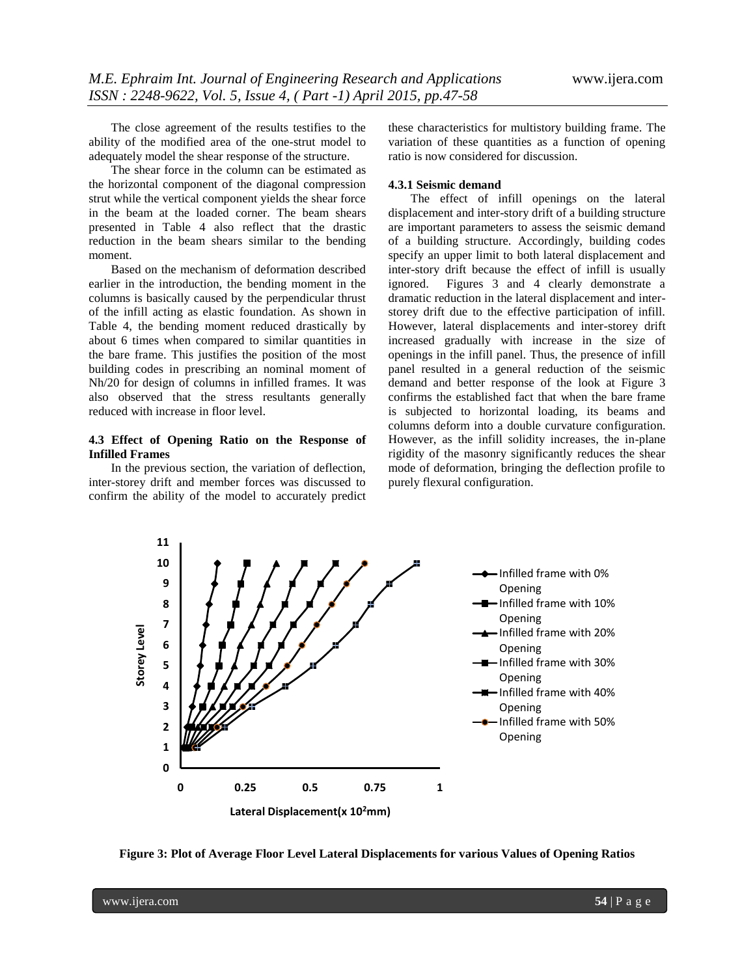The close agreement of the results testifies to the ability of the modified area of the one-strut model to adequately model the shear response of the structure.

The shear force in the column can be estimated as the horizontal component of the diagonal compression strut while the vertical component yields the shear force in the beam at the loaded corner. The beam shears presented in Table 4 also reflect that the drastic reduction in the beam shears similar to the bending moment.

Based on the mechanism of deformation described earlier in the introduction, the bending moment in the columns is basically caused by the perpendicular thrust of the infill acting as elastic foundation. As shown in Table 4, the bending moment reduced drastically by about 6 times when compared to similar quantities in the bare frame. This justifies the position of the most building codes in prescribing an nominal moment of Nh/20 for design of columns in infilled frames. It was also observed that the stress resultants generally reduced with increase in floor level.

## **4.3 Effect of Opening Ratio on the Response of Infilled Frames**

In the previous section, the variation of deflection, inter-storey drift and member forces was discussed to confirm the ability of the model to accurately predict these characteristics for multistory building frame. The variation of these quantities as a function of opening ratio is now considered for discussion.

#### **4.3.1 Seismic demand**

The effect of infill openings on the lateral displacement and inter-story drift of a building structure are important parameters to assess the seismic demand of a building structure. Accordingly, building codes specify an upper limit to both lateral displacement and inter-story drift because the effect of infill is usually ignored. Figures 3 and 4 clearly demonstrate a dramatic reduction in the lateral displacement and interstorey drift due to the effective participation of infill. However, lateral displacements and inter-storey drift increased gradually with increase in the size of openings in the infill panel. Thus, the presence of infill panel resulted in a general reduction of the seismic demand and better response of the look at Figure 3 confirms the established fact that when the bare frame is subjected to horizontal loading, its beams and columns deform into a double curvature configuration. However, as the infill solidity increases, the in-plane rigidity of the masonry significantly reduces the shear mode of deformation, bringing the deflection profile to purely flexural configuration.

![](_page_7_Figure_10.jpeg)

**Figure 3: Plot of Average Floor Level Lateral Displacements for various Values of Opening Ratios**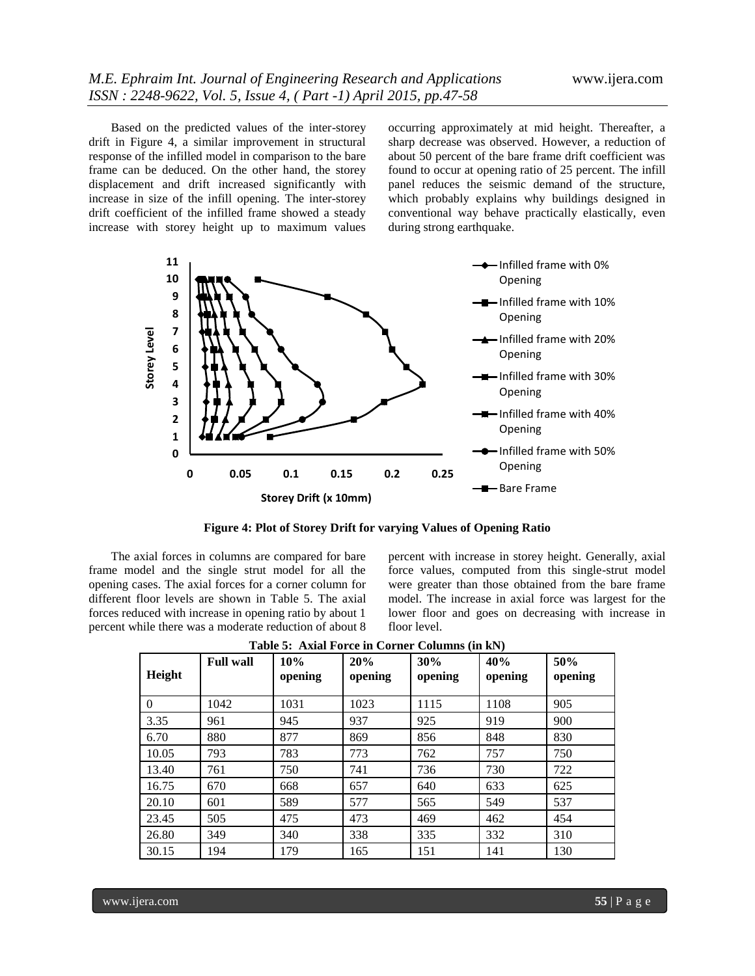Based on the predicted values of the inter-storey drift in Figure 4, a similar improvement in structural response of the infilled model in comparison to the bare frame can be deduced. On the other hand, the storey displacement and drift increased significantly with increase in size of the infill opening. The inter-storey drift coefficient of the infilled frame showed a steady increase with storey height up to maximum values

occurring approximately at mid height. Thereafter, a sharp decrease was observed. However, a reduction of about 50 percent of the bare frame drift coefficient was found to occur at opening ratio of 25 percent. The infill panel reduces the seismic demand of the structure, which probably explains why buildings designed in conventional way behave practically elastically, even during strong earthquake.

![](_page_8_Figure_4.jpeg)

**Figure 4: Plot of Storey Drift for varying Values of Opening Ratio**

The axial forces in columns are compared for bare frame model and the single strut model for all the opening cases. The axial forces for a corner column for different floor levels are shown in Table 5. The axial forces reduced with increase in opening ratio by about 1 percent while there was a moderate reduction of about 8

percent with increase in storey height. Generally, axial force values, computed from this single-strut model were greater than those obtained from the bare frame model. The increase in axial force was largest for the lower floor and goes on decreasing with increase in floor level.

| Height   | <b>Full wall</b> | 10%<br>opening | 20%<br>opening | 30%<br>opening | 40%<br>opening | 50%<br>opening |
|----------|------------------|----------------|----------------|----------------|----------------|----------------|
| $\Omega$ | 1042             | 1031           | 1023           | 1115           | 1108           | 905            |
| 3.35     | 961              | 945            | 937            | 925            | 919            | 900            |
| 6.70     | 880              | 877            | 869            | 856            | 848            | 830            |
| 10.05    | 793              | 783            | 773            | 762            | 757            | 750            |
| 13.40    | 761              | 750            | 741            | 736            | 730            | 722            |
| 16.75    | 670              | 668            | 657            | 640            | 633            | 625            |
| 20.10    | 601              | 589            | 577            | 565            | 549            | 537            |
| 23.45    | 505              | 475            | 473            | 469            | 462            | 454            |
| 26.80    | 349              | 340            | 338            | 335            | 332            | 310            |
| 30.15    | 194              | 179            | 165            | 151            | 141            | 130            |

**Table 5: Axial Force in Corner Columns (in kN)**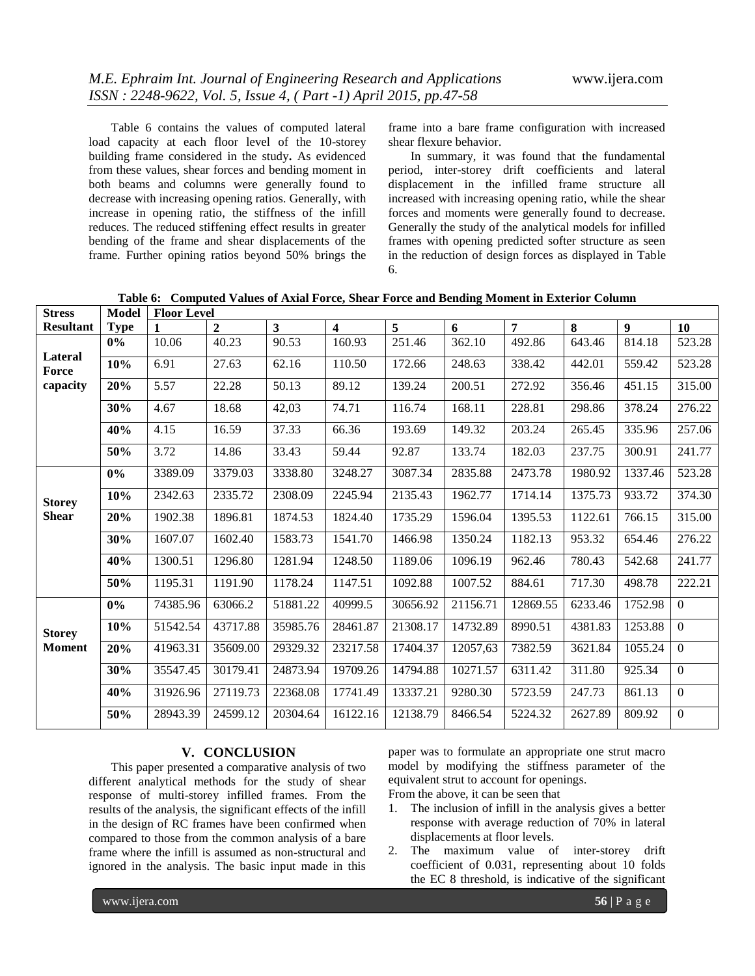Table 6 contains the values of computed lateral load capacity at each floor level of the 10-storey building frame considered in the study**.** As evidenced from these values, shear forces and bending moment in both beams and columns were generally found to decrease with increasing opening ratios. Generally, with increase in opening ratio, the stiffness of the infill reduces. The reduced stiffening effect results in greater bending of the frame and shear displacements of the frame. Further opining ratios beyond 50% brings the frame into a bare frame configuration with increased shear flexure behavior.

In summary, it was found that the fundamental period, inter-storey drift coefficients and lateral displacement in the infilled frame structure all increased with increasing opening ratio, while the shear forces and moments were generally found to decrease. Generally the study of the analytical models for infilled frames with opening predicted softer structure as seen in the reduction of design forces as displayed in Table 6.

**Table 6: Computed Values of Axial Force, Shear Force and Bending Moment in Exterior Column**

| <b>Stress</b>                | <b>Model</b> | <b>Floor Level</b> |                |                         |                         |          |          |                |         |                |                |
|------------------------------|--------------|--------------------|----------------|-------------------------|-------------------------|----------|----------|----------------|---------|----------------|----------------|
| <b>Resultant</b>             | <b>Type</b>  | 1                  | $\overline{2}$ | $\overline{\mathbf{3}}$ | $\overline{\mathbf{4}}$ | 5        | 6        | $\overline{7}$ | 8       | 9 <sup>1</sup> | 10             |
|                              | 0%           | 10.06              | 40.23          | 90.53                   | 160.93                  | 251.46   | 362.10   | 492.86         | 643.46  | 814.18         | 523.28         |
| Lateral<br>Force<br>capacity | 10%          | 6.91               | 27.63          | 62.16                   | 110.50                  | 172.66   | 248.63   | 338.42         | 442.01  | 559.42         | 523.28         |
|                              | 20%          | 5.57               | 22.28          | 50.13                   | 89.12                   | 139.24   | 200.51   | 272.92         | 356.46  | 451.15         | 315.00         |
|                              | 30%          | 4.67               | 18.68          | 42,03                   | 74.71                   | 116.74   | 168.11   | 228.81         | 298.86  | 378.24         | 276.22         |
|                              | 40%          | 4.15               | 16.59          | 37.33                   | 66.36                   | 193.69   | 149.32   | 203.24         | 265.45  | 335.96         | 257.06         |
|                              | 50%          | 3.72               | 14.86          | 33.43                   | 59.44                   | 92.87    | 133.74   | 182.03         | 237.75  | 300.91         | 241.77         |
|                              | 0%           | 3389.09            | 3379.03        | 3338.80                 | 3248.27                 | 3087.34  | 2835.88  | 2473.78        | 1980.92 | 1337.46        | 523.28         |
| <b>Storey</b>                | 10%          | 2342.63            | 2335.72        | 2308.09                 | 2245.94                 | 2135.43  | 1962.77  | 1714.14        | 1375.73 | 933.72         | 374.30         |
| <b>Shear</b>                 | 20%          | 1902.38            | 1896.81        | 1874.53                 | 1824.40                 | 1735.29  | 1596.04  | 1395.53        | 1122.61 | 766.15         | 315.00         |
|                              | 30%          | 1607.07            | 1602.40        | 1583.73                 | 1541.70                 | 1466.98  | 1350.24  | 1182.13        | 953.32  | 654.46         | 276.22         |
|                              | 40%          | 1300.51            | 1296.80        | 1281.94                 | 1248.50                 | 1189.06  | 1096.19  | 962.46         | 780.43  | 542.68         | 241.77         |
|                              | 50%          | 1195.31            | 1191.90        | 1178.24                 | 1147.51                 | 1092.88  | 1007.52  | 884.61         | 717.30  | 498.78         | 222.21         |
|                              | 0%           | 74385.96           | 63066.2        | 51881.22                | 40999.5                 | 30656.92 | 21156.71 | 12869.55       | 6233.46 | 1752.98        | $\overline{0}$ |
| <b>Storey</b>                | 10%          | 51542.54           | 43717.88       | 35985.76                | 28461.87                | 21308.17 | 14732.89 | 8990.51        | 4381.83 | 1253.88        | $\Omega$       |
| <b>Moment</b>                | 20%          | 41963.31           | 35609.00       | 29329.32                | 23217.58                | 17404.37 | 12057,63 | 7382.59        | 3621.84 | 1055.24        | $\overline{0}$ |
|                              | 30%          | 35547.45           | 30179.41       | 24873.94                | 19709.26                | 14794.88 | 10271.57 | 6311.42        | 311.80  | 925.34         | $\Omega$       |
|                              | 40%          | 31926.96           | 27119.73       | 22368.08                | 17741.49                | 13337.21 | 9280.30  | 5723.59        | 247.73  | 861.13         | $\overline{0}$ |
|                              | 50%          | 28943.39           | 24599.12       | 20304.64                | 16122.16                | 12138.79 | 8466.54  | 5224.32        | 2627.89 | 809.92         | $\overline{0}$ |

# **V. CONCLUSION**

This paper presented a comparative analysis of two different analytical methods for the study of shear response of multi-storey infilled frames. From the results of the analysis, the significant effects of the infill in the design of RC frames have been confirmed when compared to those from the common analysis of a bare frame where the infill is assumed as non-structural and ignored in the analysis. The basic input made in this paper was to formulate an appropriate one strut macro model by modifying the stiffness parameter of the equivalent strut to account for openings.

- From the above, it can be seen that
- 1. The inclusion of infill in the analysis gives a better response with average reduction of 70% in lateral displacements at floor levels.
- 2. The maximum value of inter-storey drift coefficient of 0.031, representing about 10 folds the EC 8 threshold, is indicative of the significant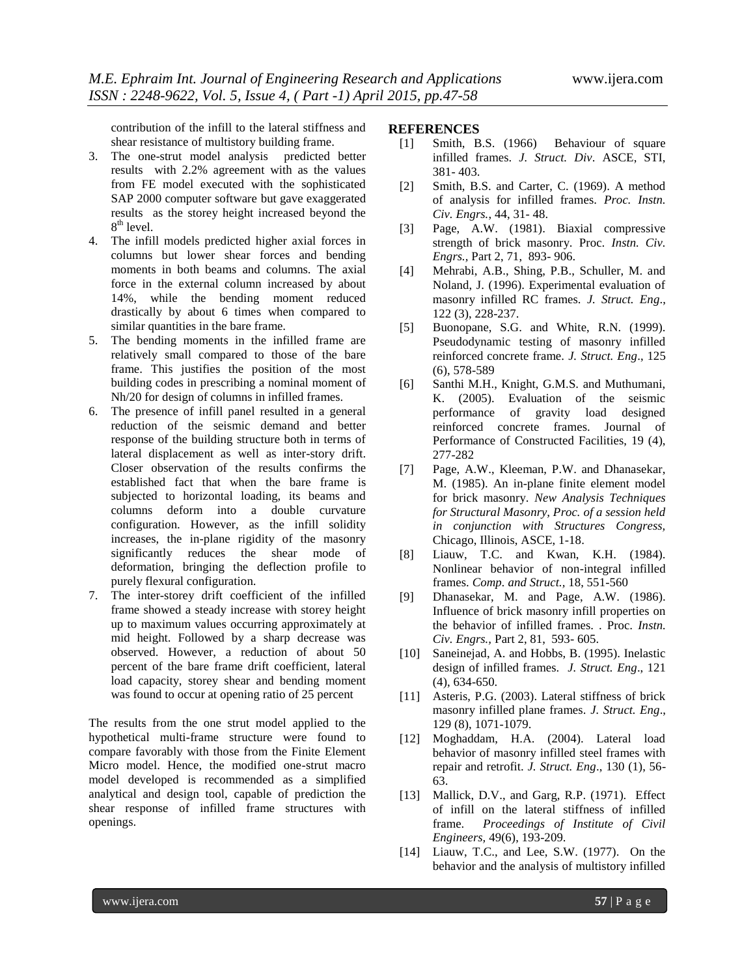contribution of the infill to the lateral stiffness and shear resistance of multistory building frame.

- 3. The one-strut model analysis predicted better results with 2.2% agreement with as the values from FE model executed with the sophisticated SAP 2000 computer software but gave exaggerated results as the storey height increased beyond the 8<sup>th</sup> level.
- 4. The infill models predicted higher axial forces in columns but lower shear forces and bending moments in both beams and columns. The axial force in the external column increased by about 14%, while the bending moment reduced drastically by about 6 times when compared to similar quantities in the bare frame.
- 5. The bending moments in the infilled frame are relatively small compared to those of the bare frame. This justifies the position of the most building codes in prescribing a nominal moment of Nh/20 for design of columns in infilled frames.
- 6. The presence of infill panel resulted in a general reduction of the seismic demand and better response of the building structure both in terms of lateral displacement as well as inter-story drift. Closer observation of the results confirms the established fact that when the bare frame is subjected to horizontal loading, its beams and columns deform into a double curvature configuration. However, as the infill solidity increases, the in-plane rigidity of the masonry significantly reduces the shear mode of deformation, bringing the deflection profile to purely flexural configuration.
- 7. The inter-storey drift coefficient of the infilled frame showed a steady increase with storey height up to maximum values occurring approximately at mid height. Followed by a sharp decrease was observed. However, a reduction of about 50 percent of the bare frame drift coefficient, lateral load capacity, storey shear and bending moment was found to occur at opening ratio of 25 percent

The results from the one strut model applied to the hypothetical multi-frame structure were found to compare favorably with those from the Finite Element Micro model. Hence, the modified one-strut macro model developed is recommended as a simplified analytical and design tool, capable of prediction the shear response of infilled frame structures with openings.

# **REFERENCES**

- [1] Smith, B.S. (1966) Behaviour of square infilled frames. *J. Struct. Div*. ASCE, STI, 381- 403.
- [2] Smith, B.S. and Carter, C. (1969). A method of analysis for infilled frames. *Proc. Instn. Civ. Engrs.*, 44, 31- 48.
- [3] Page, A.W. (1981). Biaxial compressive strength of brick masonry. Proc*. Instn. Civ. Engrs.,* Part 2, 71, 893- 906.
- [4] Mehrabi, A.B., Shing, P.B., Schuller, M. and Noland, J. (1996). Experimental evaluation of masonry infilled RC frames. *J. Struct. Eng*., 122 (3), 228-237.
- [5] Buonopane, S.G. and White, R.N. (1999). Pseudodynamic testing of masonry infilled reinforced concrete frame. *J. Struct. Eng*., 125 (6), 578-589
- [6] Santhi M.H., Knight, G.M.S. and Muthumani, K. (2005). Evaluation of the seismic performance of gravity load designed reinforced concrete frames. Journal of Performance of Constructed Facilities, 19 (4), 277-282
- [7] Page, A.W., Kleeman, P.W. and Dhanasekar, M. (1985). An in-plane finite element model for brick masonry. *New Analysis Techniques for Structural Masonry, Proc. of a session held in conjunction with Structures Congress,* Chicago, Illinois, ASCE, 1-18.
- [8] Liauw, T.C. and Kwan, K.H. (1984). Nonlinear behavior of non-integral infilled frames. *Comp. and Struct.,* 18, 551-560
- [9] Dhanasekar, M. and Page, A.W. (1986). Influence of brick masonry infill properties on the behavior of infilled frames. . Proc*. Instn. Civ. Engrs.,* Part 2, 81, 593- 605.
- [10] Saneinejad, A. and Hobbs, B. (1995). Inelastic design of infilled frames. *J. Struct. Eng*., 121 (4), 634-650.
- [11] Asteris, P.G. (2003). Lateral stiffness of brick masonry infilled plane frames. *J. Struct. Eng*., 129 (8), 1071-1079.
- [12] Moghaddam, H.A. (2004). Lateral load behavior of masonry infilled steel frames with repair and retrofit. *J. Struct. Eng*., 130 (1), 56- 63.
- [13] Mallick, D.V., and Garg, R.P. (1971). Effect of infill on the lateral stiffness of infilled frame. *Proceedings of Institute of Civil Engineers,* 49(6), 193-209.
- [14] Liauw, T.C., and Lee, S.W. (1977). On the behavior and the analysis of multistory infilled